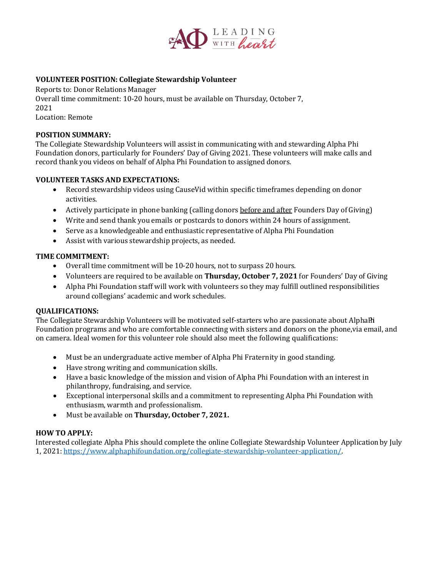

## **VOLUNTEER POSITION: Collegiate Stewardship Volunteer**

Reports to: Donor Relations Manager

Overall time commitment: 10-20 hours, must be available on Thursday, October 7, 2021 Location: Remote

#### **POSITION SUMMARY:**

The Collegiate Stewardship Volunteers will assist in communicating with and stewarding Alpha Phi Foundation donors, particularly for Founders' Day of Giving 2021. These volunteers will make calls and record thank you videos on behalf of Alpha Phi Foundation to assigned donors.

### **VOLUNTEER TASKS AND EXPECTATIONS:**

- Record stewardship videos using CauseVid within specific timeframes depending on donor activities.
- Actively participate in phone banking (calling donors before and after Founders Day of Giving)
- Write and send thank you emails or postcards to donors within 24 hours of assignment.
- Serve as a knowledgeable and enthusiastic representative of Alpha Phi Foundation
- Assist with various stewardship projects, as needed.

#### **TIME COMMITMENT:**

- Overall time commitment will be 10-20 hours, not to surpass 20 hours.
- Volunteers are required to be available on **Thursday, October 7, 2021** for Founders' Day of Giving
- Alpha Phi Foundation staff will work with volunteers so they may fulfill outlined responsibilities around collegians' academic and work schedules.

#### **QUALIFICATIONS:**

The Collegiate Stewardship Volunteers will be motivated self-starters who are passionate about AlphaPini Foundation programs and who are comfortable connecting with sisters and donors on the phone,via email, and on camera. Ideal women for this volunteer role should also meet the following qualifications:

- Must be an undergraduate active member of Alpha Phi Fraternity in good standing.
- Have strong writing and communication skills.
- Have a basic knowledge of the mission and vision of Alpha Phi Foundation with an interest in philanthropy, fundraising, and service.
- Exceptional interpersonal skills and a commitment to representing Alpha Phi Foundation with enthusiasm, warmth and professionalism.
- Must be available on **Thursday, October 7, 2021.**

## **HOW TO APPLY:**

Interested collegiate Alpha Phis should complete the online Collegiate Stewardship Volunteer Application by July 1, 2021: [https://www.alphaphifoundation.org/collegiate-stewardship-volunteer-application/.](https://www.alphaphifoundation.org/collegiate-stewardship-volunteer-application/)